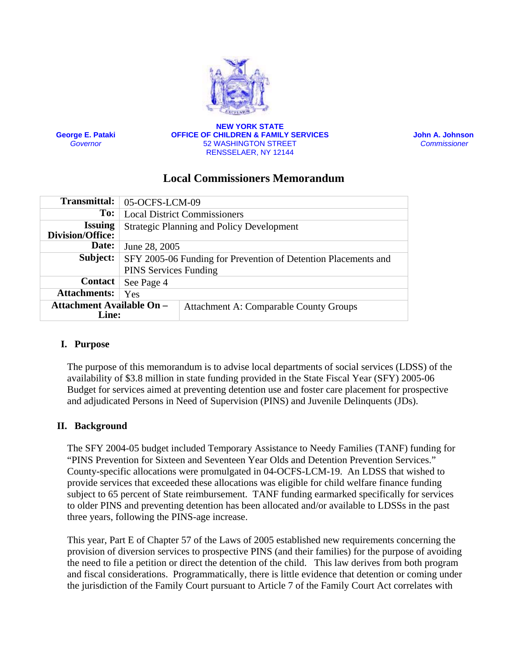

**George E. Pataki** *Governor*

**NEW YORK STATE OFFICE OF CHILDREN & FAMILY SERVICES** 52 WASHINGTON STREET RENSSELAER, NY 12144

 **John A. Johnson**  *Commissioner* 

# **Local Commissioners Memorandum**

| <b>Transmittal:</b>                              | 05-OCFS-LCM-09                                                                                 |
|--------------------------------------------------|------------------------------------------------------------------------------------------------|
| To:                                              | <b>Local District Commissioners</b>                                                            |
| <b>Issuing</b><br><b>Division/Office:</b>        | <b>Strategic Planning and Policy Development</b>                                               |
| Date:                                            | June 28, 2005                                                                                  |
| Subject:                                         | SFY 2005-06 Funding for Prevention of Detention Placements and<br><b>PINS Services Funding</b> |
|                                                  |                                                                                                |
| <b>Contact</b>                                   | See Page 4                                                                                     |
| <b>Attachments:</b>                              | Yes                                                                                            |
| <b>Attachment Available On -</b><br><b>Line:</b> | <b>Attachment A: Comparable County Groups</b>                                                  |

### **I. Purpose**

The purpose of this memorandum is to advise local departments of social services (LDSS) of the availability of \$3.8 million in state funding provided in the State Fiscal Year (SFY) 2005-06 Budget for services aimed at preventing detention use and foster care placement for prospective and adjudicated Persons in Need of Supervision (PINS) and Juvenile Delinquents (JDs).

## **II. Background**

The SFY 2004-05 budget included Temporary Assistance to Needy Families (TANF) funding for "PINS Prevention for Sixteen and Seventeen Year Olds and Detention Prevention Services." County-specific allocations were promulgated in 04-OCFS-LCM-19. An LDSS that wished to provide services that exceeded these allocations was eligible for child welfare finance funding subject to 65 percent of State reimbursement. TANF funding earmarked specifically for services to older PINS and preventing detention has been allocated and/or available to LDSSs in the past three years, following the PINS-age increase.

This year, Part E of Chapter 57 of the Laws of 2005 established new requirements concerning the provision of diversion services to prospective PINS (and their families) for the purpose of avoiding the need to file a petition or direct the detention of the child. This law derives from both program and fiscal considerations. Programmatically, there is little evidence that detention or coming under the jurisdiction of the Family Court pursuant to Article 7 of the Family Court Act correlates with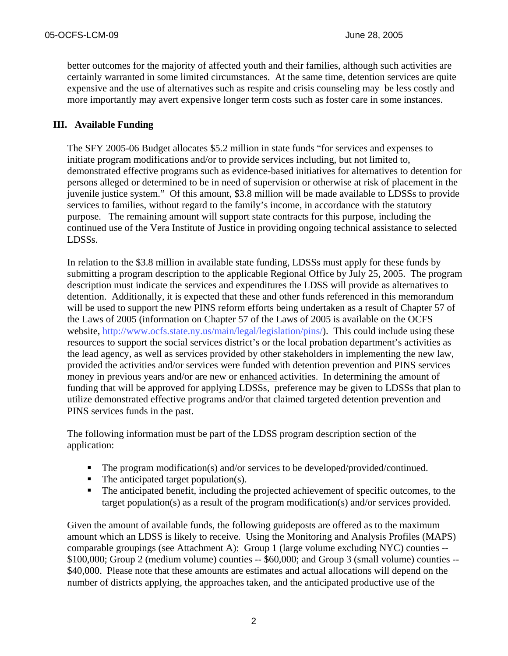better outcomes for the majority of affected youth and their families, although such activities are certainly warranted in some limited circumstances. At the same time, detention services are quite expensive and the use of alternatives such as respite and crisis counseling may be less costly and more importantly may avert expensive longer term costs such as foster care in some instances.

## **III. Available Funding**

The SFY 2005-06 Budget allocates \$5.2 million in state funds "for services and expenses to initiate program modifications and/or to provide services including, but not limited to, demonstrated effective programs such as evidence-based initiatives for alternatives to detention for persons alleged or determined to be in need of supervision or otherwise at risk of placement in the juvenile justice system." Of this amount, \$3.8 million will be made available to LDSSs to provide services to families, without regard to the family's income, in accordance with the statutory purpose. The remaining amount will support state contracts for this purpose, including the continued use of the Vera Institute of Justice in providing ongoing technical assistance to selected LDSSs.

In relation to the \$3.8 million in available state funding, LDSSs must apply for these funds by submitting a program description to the applicable Regional Office by July 25, 2005. The program description must indicate the services and expenditures the LDSS will provide as alternatives to detention. Additionally, it is expected that these and other funds referenced in this memorandum will be used to support the new PINS reform efforts being undertaken as a result of Chapter 57 of the Laws of 2005 (information on Chapter 57 of the Laws of 2005 is available on the OCFS website, [http://www.ocfs.state.ny.us/main/legal/legislation/pins](http://www.ocfs.state.ny.us/main/legal/legislation/pins/)/). This could include using these resources to support the social services district's or the local probation department's activities as the lead agency, as well as services provided by other stakeholders in implementing the new law, provided the activities and/or services were funded with detention prevention and PINS services money in previous years and/or are new or enhanced activities. In determining the amount of funding that will be approved for applying LDSSs, preference may be given to LDSSs that plan to utilize demonstrated effective programs and/or that claimed targeted detention prevention and PINS services funds in the past.

The following information must be part of the LDSS program description section of the application:

- The program modification(s) and/or services to be developed/provided/continued.
- The anticipated target population(s).
- The anticipated benefit, including the projected achievement of specific outcomes, to the target population(s) as a result of the program modification(s) and/or services provided.

Given the amount of available funds, the following guideposts are offered as to the maximum amount which an LDSS is likely to receive. Using the Monitoring and Analysis Profiles (MAPS) comparable groupings (see Attachment A): Group 1 (large volume excluding NYC) counties -- \$100,000; Group 2 (medium volume) counties -- \$60,000; and Group 3 (small volume) counties -- \$40,000. Please note that these amounts are estimates and actual allocations will depend on the number of districts applying, the approaches taken, and the anticipated productive use of the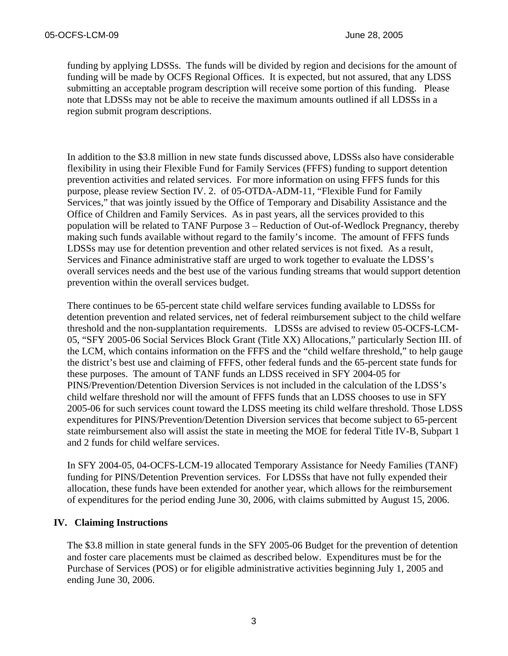funding by applying LDSSs. The funds will be divided by region and decisions for the amount of funding will be made by OCFS Regional Offices. It is expected, but not assured, that any LDSS submitting an acceptable program description will receive some portion of this funding. Please note that LDSSs may not be able to receive the maximum amounts outlined if all LDSSs in a region submit program descriptions.

In addition to the \$3.8 million in new state funds discussed above, LDSSs also have considerable flexibility in using their Flexible Fund for Family Services (FFFS) funding to support detention prevention activities and related services. For more information on using FFFS funds for this purpose, please review Section IV. 2. of 05-OTDA-ADM-11, "Flexible Fund for Family Services," that was jointly issued by the Office of Temporary and Disability Assistance and the Office of Children and Family Services. As in past years, all the services provided to this population will be related to TANF Purpose 3 – Reduction of Out-of-Wedlock Pregnancy, thereby making such funds available without regard to the family's income. The amount of FFFS funds LDSSs may use for detention prevention and other related services is not fixed. As a result, Services and Finance administrative staff are urged to work together to evaluate the LDSS's overall services needs and the best use of the various funding streams that would support detention prevention within the overall services budget.

There continues to be 65-percent state child welfare services funding available to LDSSs for detention prevention and related services, net of federal reimbursement subject to the child welfare threshold and the non-supplantation requirements. LDSSs are advised to review 05-OCFS-LCM-05, "SFY 2005-06 Social Services Block Grant (Title XX) Allocations," particularly Section III. of the LCM, which contains information on the FFFS and the "child welfare threshold," to help gauge the district's best use and claiming of FFFS, other federal funds and the 65-percent state funds for these purposes. The amount of TANF funds an LDSS received in SFY 2004-05 for PINS/Prevention/Detention Diversion Services is not included in the calculation of the LDSS's child welfare threshold nor will the amount of FFFS funds that an LDSS chooses to use in SFY 2005-06 for such services count toward the LDSS meeting its child welfare threshold. Those LDSS expenditures for PINS/Prevention/Detention Diversion services that become subject to 65-percent state reimbursement also will assist the state in meeting the MOE for federal Title IV-B, Subpart 1 and 2 funds for child welfare services.

In SFY 2004-05, 04-OCFS-LCM-19 allocated Temporary Assistance for Needy Families (TANF) funding for PINS/Detention Prevention services. For LDSSs that have not fully expended their allocation, these funds have been extended for another year, which allows for the reimbursement of expenditures for the period ending June 30, 2006, with claims submitted by August 15, 2006.

### **IV. Claiming Instructions**

The \$3.8 million in state general funds in the SFY 2005-06 Budget for the prevention of detention and foster care placements must be claimed as described below. Expenditures must be for the Purchase of Services (POS) or for eligible administrative activities beginning July 1, 2005 and ending June 30, 2006.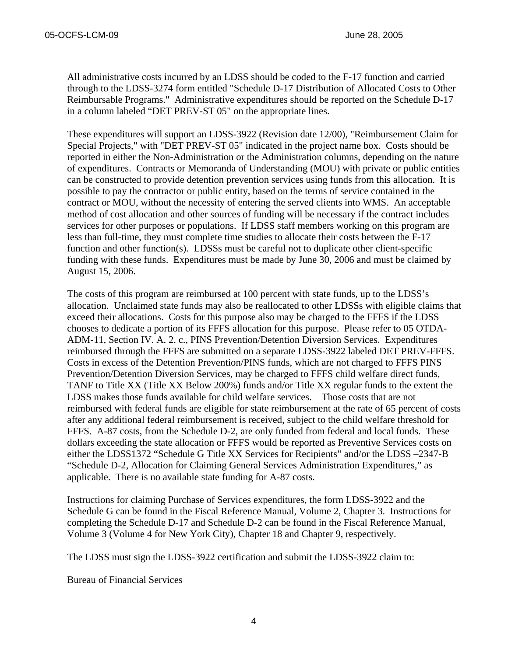All administrative costs incurred by an LDSS should be coded to the F-17 function and carried through to the LDSS-3274 form entitled "Schedule D-17 Distribution of Allocated Costs to Other Reimbursable Programs." Administrative expenditures should be reported on the Schedule D-17 in a column labeled "DET PREV-ST 05" on the appropriate lines.

These expenditures will support an LDSS-3922 (Revision date 12/00), "Reimbursement Claim for Special Projects," with "DET PREV-ST 05" indicated in the project name box. Costs should be reported in either the Non-Administration or the Administration columns, depending on the nature of expenditures. Contracts or Memoranda of Understanding (MOU) with private or public entities can be constructed to provide detention prevention services using funds from this allocation. It is possible to pay the contractor or public entity, based on the terms of service contained in the contract or MOU, without the necessity of entering the served clients into WMS. An acceptable method of cost allocation and other sources of funding will be necessary if the contract includes services for other purposes or populations. If LDSS staff members working on this program are less than full-time, they must complete time studies to allocate their costs between the F-17 function and other function(s). LDSSs must be careful not to duplicate other client-specific funding with these funds. Expenditures must be made by June 30, 2006 and must be claimed by August 15, 2006.

The costs of this program are reimbursed at 100 percent with state funds, up to the LDSS's allocation. Unclaimed state funds may also be reallocated to other LDSSs with eligible claims that exceed their allocations. Costs for this purpose also may be charged to the FFFS if the LDSS chooses to dedicate a portion of its FFFS allocation for this purpose. Please refer to 05 OTDA-ADM-11, Section IV. A. 2. c., PINS Prevention/Detention Diversion Services. Expenditures reimbursed through the FFFS are submitted on a separate LDSS-3922 labeled DET PREV-FFFS. Costs in excess of the Detention Prevention/PINS funds, which are not charged to FFFS PINS Prevention/Detention Diversion Services, may be charged to FFFS child welfare direct funds, TANF to Title XX (Title XX Below 200%) funds and/or Title XX regular funds to the extent the LDSS makes those funds available for child welfare services. Those costs that are not reimbursed with federal funds are eligible for state reimbursement at the rate of 65 percent of costs after any additional federal reimbursement is received, subject to the child welfare threshold for FFFS. A-87 costs, from the Schedule D-2, are only funded from federal and local funds. These dollars exceeding the state allocation or FFFS would be reported as Preventive Services costs on either the LDSS1372 "Schedule G Title XX Services for Recipients" and/or the LDSS –2347-B "Schedule D-2, Allocation for Claiming General Services Administration Expenditures," as applicable. There is no available state funding for A-87 costs.

Instructions for claiming Purchase of Services expenditures, the form LDSS-3922 and the Schedule G can be found in the Fiscal Reference Manual, Volume 2, Chapter 3. Instructions for completing the Schedule D-17 and Schedule D-2 can be found in the Fiscal Reference Manual, Volume 3 (Volume 4 for New York City), Chapter 18 and Chapter 9, respectively.

The LDSS must sign the LDSS-3922 certification and submit the LDSS-3922 claim to:

Bureau of Financial Services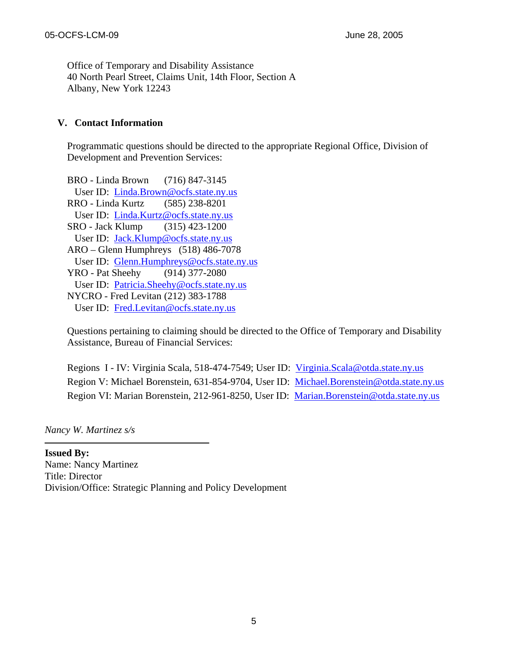Office of Temporary and Disability Assistance 40 North Pearl Street, Claims Unit, 14th Floor, Section A Albany, New York 12243

## **V. Contact Information**

Programmatic questions should be directed to the appropriate Regional Office, Division of Development and Prevention Services:

BRO - Linda Brown (716) 847-3145 User ID: [Linda.Brown@ocfs.state.ny.us](mailto:Linda.Brown@ocfs.state.ny.us) RRO - Linda Kurtz (585) 238-8201 User ID: [Linda.Kurtz@ocfs.state.ny.us](mailto:Linda.Kurtz@ocfs.state.ny.us) SRO - Jack Klump (315) 423-1200 User ID: [Jack.Klump@ocfs.state.ny.us](mailto:Jack.Klump@ocfs.state.ny.us) ARO – Glenn Humphreys (518) 486-7078 User ID: [Glenn.Humphreys@ocfs.state.ny.us](mailto:Glenn.Humphreys@ocfs.state.ny.us) YRO - Pat Sheehy (914) 377-2080 User ID: [Patricia.Sheehy@ocfs.state.ny.us](mailto:Patricia.Sheehy@ocfs.state.ny.us) NYCRO - Fred Levitan (212) 383-1788 User ID: [Fred.Levitan@ocfs.state.ny.us](mailto:Fred.Levitan@ocfs.state.ny.us)

Questions pertaining to claiming should be directed to the Office of Temporary and Disability Assistance, Bureau of Financial Services:

Regions I - IV: Virginia Scala, 518-474-7549; User ID: [Virginia.Scala@otda.state.ny.us](mailto:Virginia.Scala@otda.state.ny.us) Region V: Michael Borenstein, 631-854-9704, User ID: [Michael.Borenstein@otda.state.ny.us](mailto:Michael.Borenstein@otda.state.ny.us) Region VI: Marian Borenstein, 212-961-8250, User ID: [Marian.Borenstein@otda.state.ny.us](mailto:Marian.Borenstein@otda.state.ny.us)

*Nancy W. Martinez s/s* 

**Issued By:**  Name: Nancy Martinez Title: Director Division/Office: Strategic Planning and Policy Development